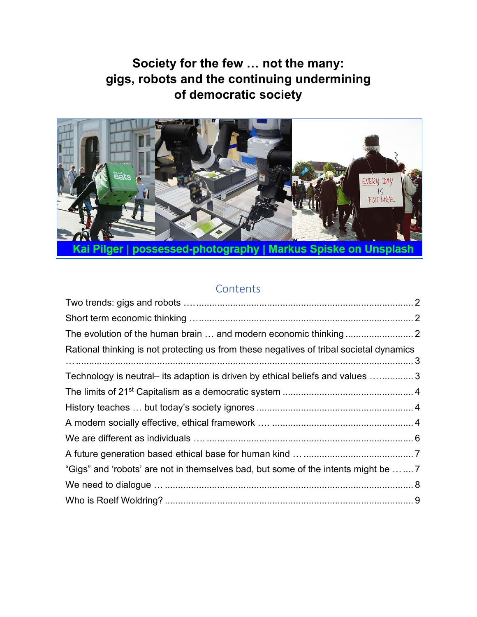

# **Contents**

| Rational thinking is not protecting us from these negatives of tribal societal dynamics |  |
|-----------------------------------------------------------------------------------------|--|
|                                                                                         |  |
| Technology is neutral- its adaption is driven by ethical beliefs and values 3           |  |
|                                                                                         |  |
|                                                                                         |  |
|                                                                                         |  |
|                                                                                         |  |
|                                                                                         |  |
| "Gigs" and 'robots' are not in themselves bad, but some of the intents might be  7      |  |
|                                                                                         |  |
|                                                                                         |  |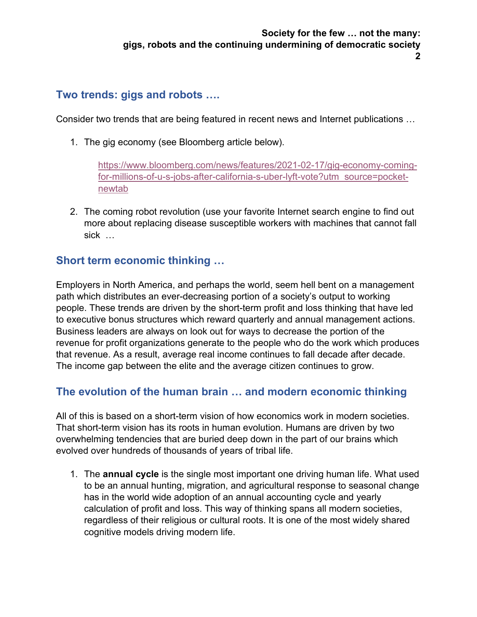### <span id="page-1-0"></span>**Two trends: gigs and robots ….**

Consider two trends that are being featured in recent news and Internet publications …

1. The gig economy (see Bloomberg article below).

[https://www.bloomberg.com/news/features/2021-02-17/gig-economy-coming](https://www.bloomberg.com/news/features/2021-02-17/gig-economy-coming-for-millions-of-u-s-jobs-after-california-s-uber-lyft-vote?utm_source=pocket-newtab)[for-millions-of-u-s-jobs-after-california-s-uber-lyft-vote?utm\\_source=pocket](https://www.bloomberg.com/news/features/2021-02-17/gig-economy-coming-for-millions-of-u-s-jobs-after-california-s-uber-lyft-vote?utm_source=pocket-newtab)[newtab](https://www.bloomberg.com/news/features/2021-02-17/gig-economy-coming-for-millions-of-u-s-jobs-after-california-s-uber-lyft-vote?utm_source=pocket-newtab) 

2. The coming robot revolution (use your favorite Internet search engine to find out more about replacing disease susceptible workers with machines that cannot fall sick …

# <span id="page-1-1"></span>**Short term economic thinking …**

Employers in North America, and perhaps the world, seem hell bent on a management path which distributes an ever-decreasing portion of a society's output to working people. These trends are driven by the short-term profit and loss thinking that have led to executive bonus structures which reward quarterly and annual management actions. Business leaders are always on look out for ways to decrease the portion of the revenue for profit organizations generate to the people who do the work which produces that revenue. As a result, average real income continues to fall decade after decade. The income gap between the elite and the average citizen continues to grow.

# <span id="page-1-2"></span>**The evolution of the human brain … and modern economic thinking**

All of this is based on a short-term vision of how economics work in modern societies. That short-term vision has its roots in human evolution. Humans are driven by two overwhelming tendencies that are buried deep down in the part of our brains which evolved over hundreds of thousands of years of tribal life.

1. The **annual cycle** is the single most important one driving human life. What used to be an annual hunting, migration, and agricultural response to seasonal change has in the world wide adoption of an annual accounting cycle and yearly calculation of profit and loss. This way of thinking spans all modern societies, regardless of their religious or cultural roots. It is one of the most widely shared cognitive models driving modern life.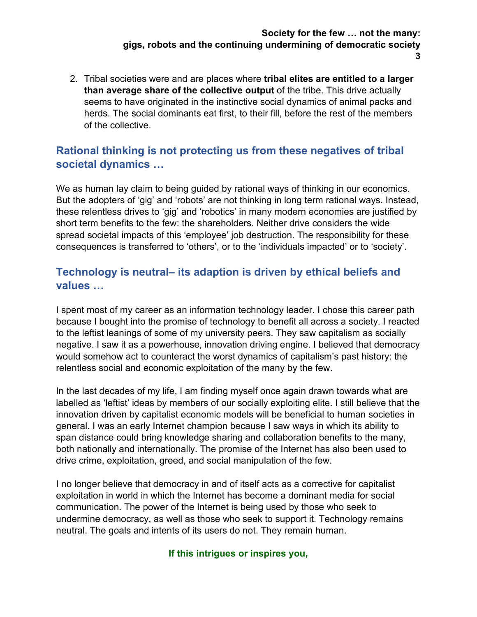**3**

2. Tribal societies were and are places where **tribal elites are entitled to a larger than average share of the collective output** of the tribe. This drive actually seems to have originated in the instinctive social dynamics of animal packs and herds. The social dominants eat first, to their fill, before the rest of the members of the collective.

# <span id="page-2-0"></span>**Rational thinking is not protecting us from these negatives of tribal societal dynamics …**

We as human lay claim to being guided by rational ways of thinking in our economics. But the adopters of 'gig' and 'robots' are not thinking in long term rational ways. Instead, these relentless drives to 'gig' and 'robotics' in many modern economies are justified by short term benefits to the few: the shareholders. Neither drive considers the wide spread societal impacts of this 'employee' job destruction. The responsibility for these consequences is transferred to 'others', or to the 'individuals impacted' or to 'society'.

# <span id="page-2-1"></span>**Technology is neutral– its adaption is driven by ethical beliefs and values …**

I spent most of my career as an information technology leader. I chose this career path because I bought into the promise of technology to benefit all across a society. I reacted to the leftist leanings of some of my university peers. They saw capitalism as socially negative. I saw it as a powerhouse, innovation driving engine. I believed that democracy would somehow act to counteract the worst dynamics of capitalism's past history: the relentless social and economic exploitation of the many by the few.

In the last decades of my life, I am finding myself once again drawn towards what are labelled as 'leftist' ideas by members of our socially exploiting elite. I still believe that the innovation driven by capitalist economic models will be beneficial to human societies in general. I was an early Internet champion because I saw ways in which its ability to span distance could bring knowledge sharing and collaboration benefits to the many, both nationally and internationally. The promise of the Internet has also been used to drive crime, exploitation, greed, and social manipulation of the few.

I no longer believe that democracy in and of itself acts as a corrective for capitalist exploitation in world in which the Internet has become a dominant media for social communication. The power of the Internet is being used by those who seek to undermine democracy, as well as those who seek to support it. Technology remains neutral. The goals and intents of its users do not. They remain human.

#### **If this intrigues or inspires you,**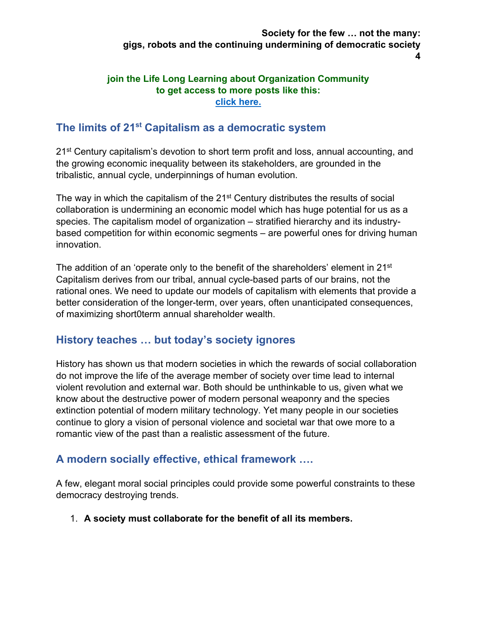#### **join the Life Long Learning about Organization Community to get access to more posts like this: [click here.](https://bit.ly/LLLcommunity)**

### <span id="page-3-0"></span>**The limits of 21st Capitalism as a democratic system**

21<sup>st</sup> Century capitalism's devotion to short term profit and loss, annual accounting, and the growing economic inequality between its stakeholders, are grounded in the tribalistic, annual cycle, underpinnings of human evolution.

The way in which the capitalism of the 21<sup>st</sup> Century distributes the results of social collaboration is undermining an economic model which has huge potential for us as a species. The capitalism model of organization – stratified hierarchy and its industrybased competition for within economic segments – are powerful ones for driving human innovation.

The addition of an 'operate only to the benefit of the shareholders' element in 21 $\mathrm{^{st}}$ Capitalism derives from our tribal, annual cycle-based parts of our brains, not the rational ones. We need to update our models of capitalism with elements that provide a better consideration of the longer-term, over years, often unanticipated consequences, of maximizing short0term annual shareholder wealth.

# <span id="page-3-1"></span>**History teaches … but today's society ignores**

History has shown us that modern societies in which the rewards of social collaboration do not improve the life of the average member of society over time lead to internal violent revolution and external war. Both should be unthinkable to us, given what we know about the destructive power of modern personal weaponry and the species extinction potential of modern military technology. Yet many people in our societies continue to glory a vision of personal violence and societal war that owe more to a romantic view of the past than a realistic assessment of the future.

### <span id="page-3-2"></span>**A modern socially effective, ethical framework ….**

A few, elegant moral social principles could provide some powerful constraints to these democracy destroying trends.

1. **A society must collaborate for the benefit of all its members.**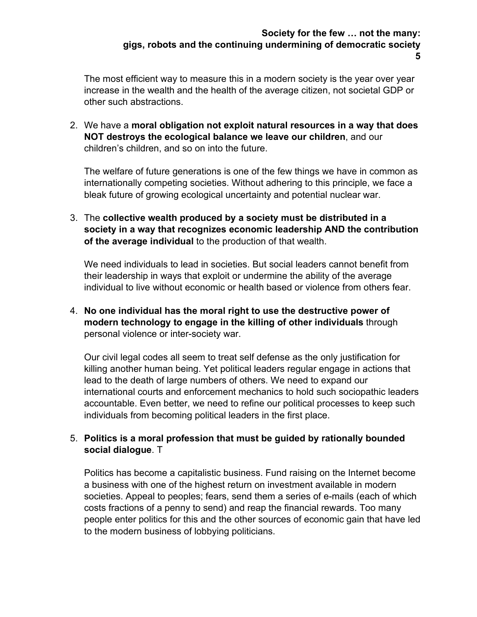The most efficient way to measure this in a modern society is the year over year increase in the wealth and the health of the average citizen, not societal GDP or other such abstractions.

2. We have a **moral obligation not exploit natural resources in a way that does NOT destroys the ecological balance we leave our children**, and our children's children, and so on into the future.

The welfare of future generations is one of the few things we have in common as internationally competing societies. Without adhering to this principle, we face a bleak future of growing ecological uncertainty and potential nuclear war.

3. The **collective wealth produced by a society must be distributed in a society in a way that recognizes economic leadership AND the contribution of the average individual** to the production of that wealth.

We need individuals to lead in societies. But social leaders cannot benefit from their leadership in ways that exploit or undermine the ability of the average individual to live without economic or health based or violence from others fear.

4. **No one individual has the moral right to use the destructive power of modern technology to engage in the killing of other individuals** through personal violence or inter-society war.

Our civil legal codes all seem to treat self defense as the only justification for killing another human being. Yet political leaders regular engage in actions that lead to the death of large numbers of others. We need to expand our international courts and enforcement mechanics to hold such sociopathic leaders accountable. Even better, we need to refine our political processes to keep such individuals from becoming political leaders in the first place.

#### 5. **Politics is a moral profession that must be guided by rationally bounded social dialogue**. T

Politics has become a capitalistic business. Fund raising on the Internet become a business with one of the highest return on investment available in modern societies. Appeal to peoples; fears, send them a series of e-mails (each of which costs fractions of a penny to send) and reap the financial rewards. Too many people enter politics for this and the other sources of economic gain that have led to the modern business of lobbying politicians.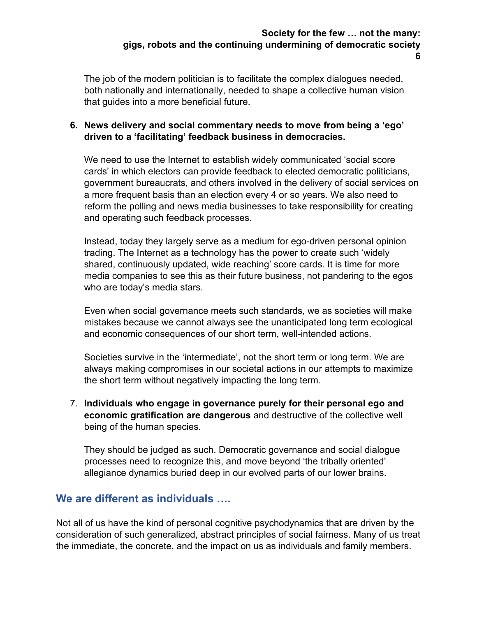The job of the modern politician is to facilitate the complex dialogues needed, both nationally and internationally, needed to shape a collective human vision that guides into a more beneficial future.

#### **6. News delivery and social commentary needs to move from being a 'ego' driven to a 'facilitating' feedback business in democracies.**

We need to use the Internet to establish widely communicated 'social score cards' in which electors can provide feedback to elected democratic politicians, government bureaucrats, and others involved in the delivery of social services on a more frequent basis than an election every 4 or so years. We also need to reform the polling and news media businesses to take responsibility for creating and operating such feedback processes.

Instead, today they largely serve as a medium for ego-driven personal opinion trading. The Internet as a technology has the power to create such 'widely shared, continuously updated, wide reaching' score cards. It is time for more media companies to see this as their future business, not pandering to the egos who are today's media stars.

Even when social governance meets such standards, we as societies will make mistakes because we cannot always see the unanticipated long term ecological and economic consequences of our short term, well-intended actions.

Societies survive in the 'intermediate', not the short term or long term. We are always making compromises in our societal actions in our attempts to maximize the short term without negatively impacting the long term.

7. **Individuals who engage in governance purely for their personal ego and economic gratification are dangerous** and destructive of the collective well being of the human species.

They should be judged as such. Democratic governance and social dialogue processes need to recognize this, and move beyond 'the tribally oriented' allegiance dynamics buried deep in our evolved parts of our lower brains.

### <span id="page-5-0"></span>**We are different as individuals ….**

Not all of us have the kind of personal cognitive psychodynamics that are driven by the consideration of such generalized, abstract principles of social fairness. Many of us treat the immediate, the concrete, and the impact on us as individuals and family members.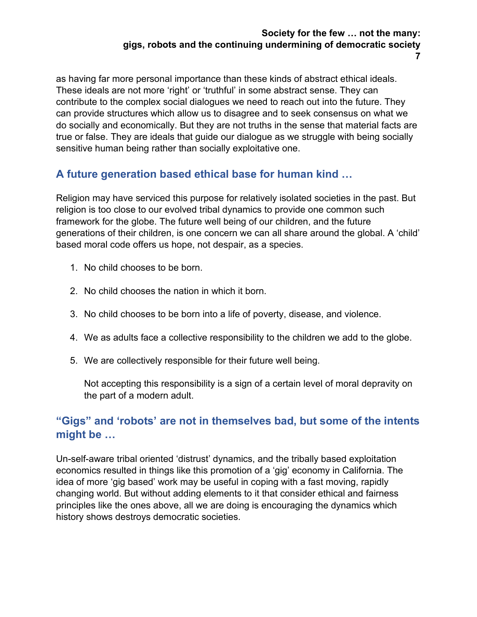**7**

as having far more personal importance than these kinds of abstract ethical ideals. These ideals are not more 'right' or 'truthful' in some abstract sense. They can contribute to the complex social dialogues we need to reach out into the future. They can provide structures which allow us to disagree and to seek consensus on what we do socially and economically. But they are not truths in the sense that material facts are true or false. They are ideals that guide our dialogue as we struggle with being socially sensitive human being rather than socially exploitative one.

# <span id="page-6-0"></span>**A future generation based ethical base for human kind …**

Religion may have serviced this purpose for relatively isolated societies in the past. But religion is too close to our evolved tribal dynamics to provide one common such framework for the globe. The future well being of our children, and the future generations of their children, is one concern we can all share around the global. A 'child' based moral code offers us hope, not despair, as a species.

- 1. No child chooses to be born.
- 2. No child chooses the nation in which it born.
- 3. No child chooses to be born into a life of poverty, disease, and violence.
- 4. We as adults face a collective responsibility to the children we add to the globe.
- 5. We are collectively responsible for their future well being.

Not accepting this responsibility is a sign of a certain level of moral depravity on the part of a modern adult.

# <span id="page-6-1"></span>**"Gigs" and 'robots' are not in themselves bad, but some of the intents might be …**

Un-self-aware tribal oriented 'distrust' dynamics, and the tribally based exploitation economics resulted in things like this promotion of a 'gig' economy in California. The idea of more 'gig based' work may be useful in coping with a fast moving, rapidly changing world. But without adding elements to it that consider ethical and fairness principles like the ones above, all we are doing is encouraging the dynamics which history shows destroys democratic societies.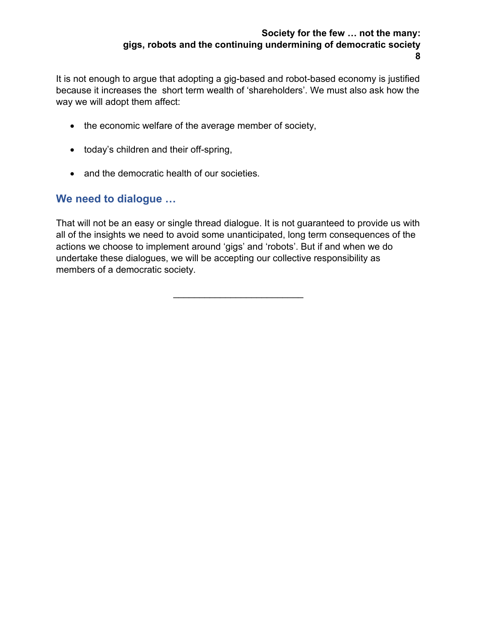It is not enough to argue that adopting a gig-based and robot-based economy is justified because it increases the short term wealth of 'shareholders'. We must also ask how the way we will adopt them affect:

- the economic welfare of the average member of society,
- today's children and their off-spring,
- and the democratic health of our societies.

### <span id="page-7-0"></span>**We need to dialogue …**

That will not be an easy or single thread dialogue. It is not guaranteed to provide us with all of the insights we need to avoid some unanticipated, long term consequences of the actions we choose to implement around 'gigs' and 'robots'. But if and when we do undertake these dialogues, we will be accepting our collective responsibility as members of a democratic society.

 $\frac{1}{2}$  ,  $\frac{1}{2}$  ,  $\frac{1}{2}$  ,  $\frac{1}{2}$  ,  $\frac{1}{2}$  ,  $\frac{1}{2}$  ,  $\frac{1}{2}$  ,  $\frac{1}{2}$  ,  $\frac{1}{2}$  ,  $\frac{1}{2}$  ,  $\frac{1}{2}$  ,  $\frac{1}{2}$  ,  $\frac{1}{2}$  ,  $\frac{1}{2}$  ,  $\frac{1}{2}$  ,  $\frac{1}{2}$  ,  $\frac{1}{2}$  ,  $\frac{1}{2}$  ,  $\frac{1$